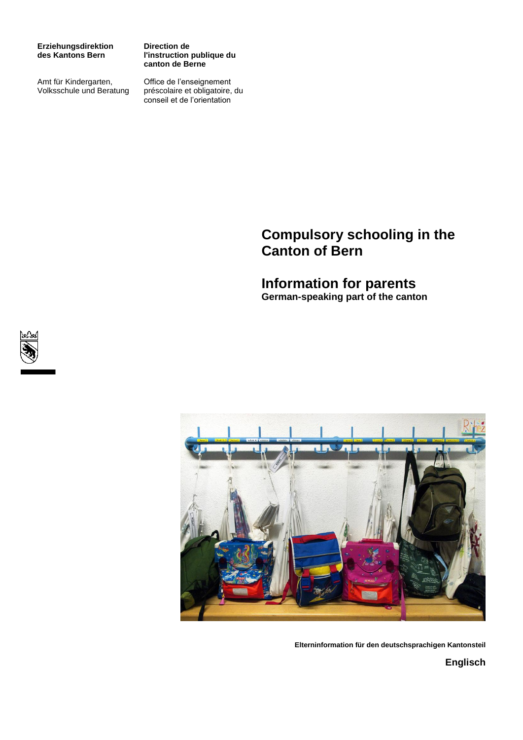**Erziehungsdirektion des Kantons Bern**

Amt für Kindergarten, Volksschule und Beratung **Direction de l'instruction publique du canton de Berne**

Office de l'enseignement préscolaire et obligatoire, du conseil et de l'orientation

# **Compulsory schooling in the Canton of Bern**

# **Information for parents German-speaking part of the canton**





**Elterninformation für den deutschsprachigen Kantonsteil**

**Englisch**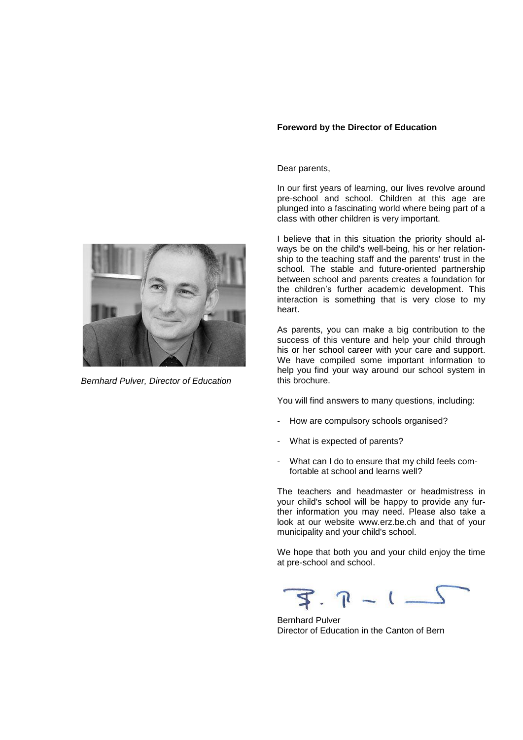## **Foreword by the Director of Education**

Dear parents,

In our first years of learning, our lives revolve around pre-school and school. Children at this age are plunged into a fascinating world where being part of a class with other children is very important.

I believe that in this situation the priority should always be on the child's well-being, his or her relationship to the teaching staff and the parents' trust in the school. The stable and future-oriented partnership between school and parents creates a foundation for the children's further academic development. This interaction is something that is very close to my heart.

As parents, you can make a big contribution to the success of this venture and help your child through his or her school career with your care and support. We have compiled some important information to help you find your way around our school system in this brochure.

You will find answers to many questions, including:

- How are compulsory schools organised?
- What is expected of parents?
- What can I do to ensure that my child feels comfortable at school and learns well?

The teachers and headmaster or headmistress in your child's school will be happy to provide any further information you may need. Please also take a look at our website [www.erz.be.ch](http://www.erz.be.ch/) and that of your municipality and your child's school.

We hope that both you and your child enjoy the time at pre-school and school.

 $3.7 - 1 -$ 

Bernhard Pulver Director of Education in the Canton of Bern



*Bernhard Pulver, Director of Education*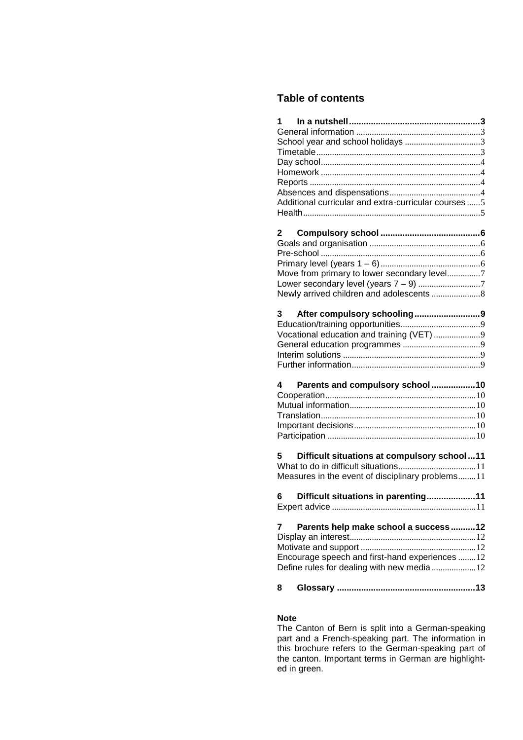## **Table of contents**

| $1 \quad$<br>Additional curricular and extra-curricular courses 5                                                                                  |  |
|----------------------------------------------------------------------------------------------------------------------------------------------------|--|
| 2<br>Move from primary to lower secondary level7                                                                                                   |  |
| After compulsory schooling9<br>3<br>Vocational education and training (VET) 9                                                                      |  |
| Parents and compulsory school10<br>4                                                                                                               |  |
| Difficult situations at compulsory school11<br>5<br>Measures in the event of disciplinary problems11<br>Difficult situations in parenting11<br>6 — |  |
| Parents help make school a success12<br>7<br>Encourage speech and first-hand experiences 12<br>Define rules for dealing with new media  12         |  |
| 8                                                                                                                                                  |  |

## **Note**

The Canton of Bern is split into a German-speaking part and a French-speaking part. The information in this brochure refers to the German-speaking part of the canton. Important terms in German are highlighted in green.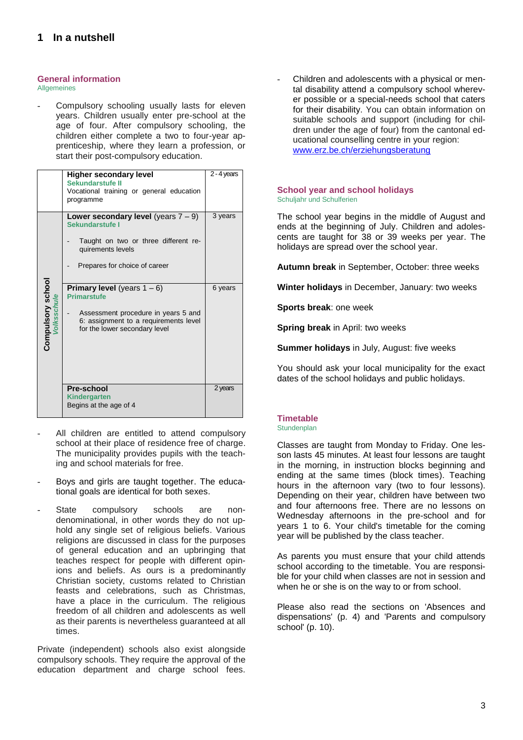## <span id="page-3-1"></span><span id="page-3-0"></span>**General information**

**Allgemeines** 

Compulsory schooling usually lasts for eleven years. Children usually enter pre-school at the age of four. After compulsory schooling, the children either complete a two to four-year apprenticeship, where they learn a profession, or start their post-compulsory education.

|                   | <b>Higher secondary level</b><br>Sekundarstufe II<br>Vocational training or general education<br>programme                                                                   | 2 - 4 years |
|-------------------|------------------------------------------------------------------------------------------------------------------------------------------------------------------------------|-------------|
|                   | Lower secondary level (years $7 - 9$ )<br>Sekundarstufe I<br>Taught on two or three different re-<br>quirements levels<br>Prepares for choice of career                      | 3 years     |
| Compulsory school | <b>Primary level</b> (years $1 - 6$ )<br><b>Primarstufe</b><br>Assessment procedure in years 5 and<br>6: assignment to a requirements level<br>for the lower secondary level | 6 years     |
|                   | Pre-school<br><b>Kindergarten</b><br>Begins at the age of 4                                                                                                                  | 2 years     |

- All children are entitled to attend compulsory school at their place of residence free of charge. The municipality provides pupils with the teaching and school materials for free.
- Boys and girls are taught together. The educational goals are identical for both sexes.
- State compulsory schools are nondenominational, in other words they do not uphold any single set of religious beliefs. Various religions are discussed in class for the purposes of general education and an upbringing that teaches respect for people with different opinions and beliefs. As ours is a predominantly Christian society, customs related to Christian feasts and celebrations, such as Christmas, have a place in the curriculum. The religious freedom of all children and adolescents as well as their parents is nevertheless guaranteed at all times.

Private (independent) schools also exist alongside compulsory schools. They require the approval of the education department and charge school fees.

Children and adolescents with a physical or mental disability attend a compulsory school wherever possible or a special-needs school that caters for their disability. You can obtain information on suitable schools and support (including for children under the age of four) from the cantonal educational counselling centre in your region: [www.erz.be.ch/erziehungsberatung](http://www.erz.be.ch/erziehungsberatung)

#### <span id="page-3-2"></span>**School year and school holidays**  Schuljahr und Schulferien

The school year begins in the middle of August and ends at the beginning of July. Children and adolescents are taught for 38 or 39 weeks per year. The holidays are spread over the school year.

**Autumn break** in September, October: three weeks

**Winter holidays** in December, January: two weeks

**Sports break**: one week

**Spring break** in April: two weeks

**Summer holidays** in July, August: five weeks

You should ask your local municipality for the exact dates of the school holidays and public holidays.

## <span id="page-3-3"></span>**Timetable**

## **Stundenplan**

Classes are taught from Monday to Friday. One lesson lasts 45 minutes. At least four lessons are taught in the morning, in instruction blocks beginning and ending at the same times (block times). Teaching hours in the afternoon vary (two to four lessons). Depending on their year, children have between two and four afternoons free. There are no lessons on Wednesday afternoons in the pre-school and for years 1 to 6. Your child's timetable for the coming year will be published by the class teacher.

As parents you must ensure that your child attends school according to the timetable. You are responsible for your child when classes are not in session and when he or she is on the way to or from school.

Please also read the sections on 'Absences and dispensations' (p. 4) and 'Parents and compulsory school' (p. 10).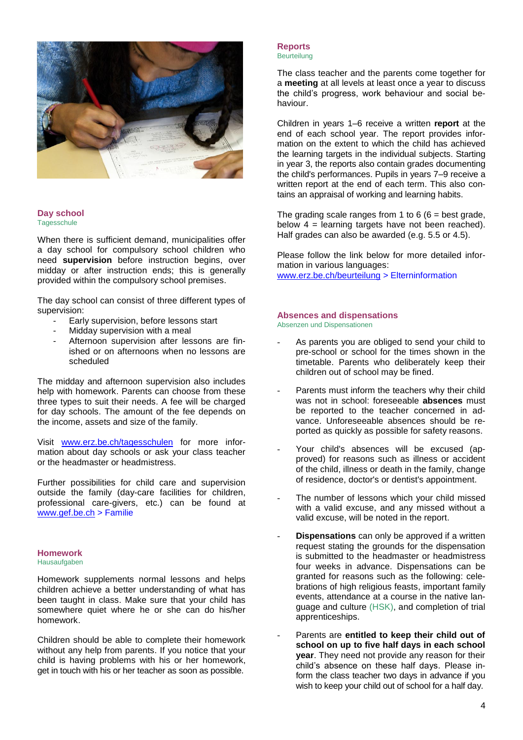

#### <span id="page-4-0"></span>**Day school Tagesschule**

When there is sufficient demand, municipalities offer a day school for compulsory school children who need **supervision** before instruction begins, over midday or after instruction ends; this is generally provided within the compulsory school premises.

The day school can consist of three different types of supervision:

- Early supervision, before lessons start
- Midday supervision with a meal
- Afternoon supervision after lessons are finished or on afternoons when no lessons are scheduled

The midday and afternoon supervision also includes help with homework. Parents can choose from these three types to suit their needs. A fee will be charged for day schools. The amount of the fee depends on the income, assets and size of the family.

Visit [www.erz.be.ch/tagesschulen](http://www.erz.be.ch/tagesschulen) for more information about day schools or ask your class teacher or the headmaster or headmistress.

Further possibilities for child care and supervision outside the family (day-care facilities for children, professional care-givers, etc.) can be found at [www.gef.be.ch](http://www.gef.be.ch/) > Familie

# <span id="page-4-1"></span>**Homework**

Hausaufgaben

Homework supplements normal lessons and helps children achieve a better understanding of what has been taught in class. Make sure that your child has somewhere quiet where he or she can do his/her homework.

Children should be able to complete their homework without any help from parents. If you notice that your child is having problems with his or her homework, get in touch with his or her teacher as soon as possible.

#### <span id="page-4-2"></span>**Reports Beurteilung**

The class teacher and the parents come together for a **meeting** at all levels at least once a year to discuss the child's progress, work behaviour and social behaviour.

Children in years 1–6 receive a written **report** at the end of each school year. The report provides information on the extent to which the child has achieved the learning targets in the individual subjects. Starting in year 3, the reports also contain grades documenting the child's performances. Pupils in years 7–9 receive a written report at the end of each term. This also contains an appraisal of working and learning habits.

The grading scale ranges from 1 to  $6$  ( $6$  = best grade, below  $4$  = learning targets have not been reached). Half grades can also be awarded (e.g. 5.5 or 4.5).

Please follow the link below for more detailed information in various languages: [www.erz.be.ch/beurteilung](http://www.erz.be.ch/beurteilung) > Elterninformation

## <span id="page-4-3"></span>**Absences and dispensations**

Absenzen und Dispensationen

- As parents you are obliged to send your child to pre-school or school for the times shown in the timetable. Parents who deliberately keep their children out of school may be fined.
- Parents must inform the teachers why their child was not in school: foreseeable **absences** must be reported to the teacher concerned in advance. Unforeseeable absences should be reported as quickly as possible for safety reasons.
- Your child's absences will be excused (approved) for reasons such as illness or accident of the child, illness or death in the family, change of residence, doctor's or dentist's appointment.
- The number of lessons which your child missed with a valid excuse, and any missed without a valid excuse, will be noted in the report.
- **Dispensations** can only be approved if a written request stating the grounds for the dispensation is submitted to the headmaster or headmistress four weeks in advance. Dispensations can be granted for reasons such as the following: celebrations of high religious feasts, important family events, attendance at a course in the native language and culture (HSK), and completion of trial apprenticeships.
- Parents are entitled to keep their child out of **school on up to five half days in each school year**. They need not provide any reason for their child's absence on these half days. Please inform the class teacher two days in advance if you wish to keep your child out of school for a half day.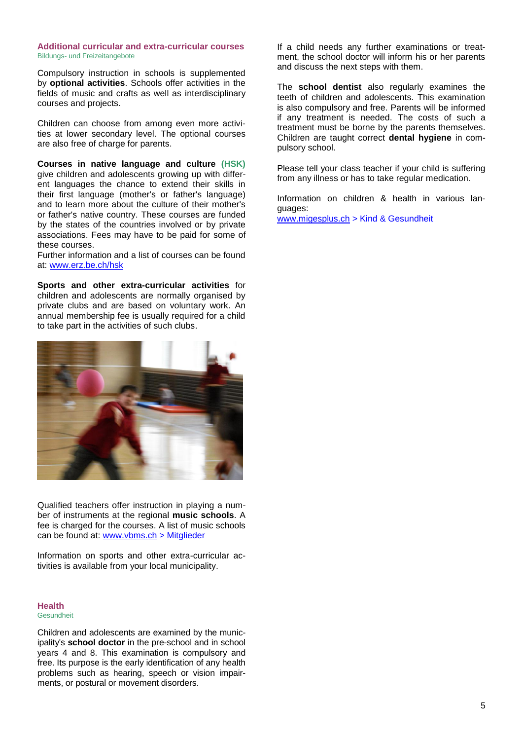#### <span id="page-5-0"></span>**Additional curricular and extra-curricular courses**  Bildungs- und Freizeitangebote

Compulsory instruction in schools is supplemented by **optional activities**. Schools offer activities in the fields of music and crafts as well as interdisciplinary courses and projects.

Children can choose from among even more activities at lower secondary level. The optional courses are also free of charge for parents.

**Courses in native language and culture (HSK)** give children and adolescents growing up with different languages the chance to extend their skills in their first language (mother's or father's language) and to learn more about the culture of their mother's or father's native country. These courses are funded by the states of the countries involved or by private associations. Fees may have to be paid for some of these courses.

Further information and a list of courses can be found at: [www.erz.be.ch/hsk](http://www.erz.be.ch/hsk)

**Sports and other extra-curricular activities** for children and adolescents are normally organised by private clubs and are based on voluntary work. An annual membership fee is usually required for a child to take part in the activities of such clubs.



Qualified teachers offer instruction in playing a number of instruments at the regional **music schools**. A fee is charged for the courses. A list of music schools can be found at: [www.vbms.ch](http://www.vbms.ch/mitglieder.html) > Mitglieder

Information on sports and other extra-curricular activities is available from your local municipality.

## <span id="page-5-1"></span>**Health**

Gesundheit

Children and adolescents are examined by the municipality's **school doctor** in the pre-school and in school years 4 and 8. This examination is compulsory and free. Its purpose is the early identification of any health problems such as hearing, speech or vision impairments, or postural or movement disorders.

If a child needs any further examinations or treatment, the school doctor will inform his or her parents and discuss the next steps with them.

The **school dentist** also regularly examines the teeth of children and adolescents. This examination is also compulsory and free. Parents will be informed if any treatment is needed. The costs of such a treatment must be borne by the parents themselves. Children are taught correct **dental hygiene** in compulsory school.

Please tell your class teacher if your child is suffering from any illness or has to take regular medication.

Information on children & health in various languages:

[www.migesplus.ch](http://www.migesplus.ch/) > Kind & Gesundheit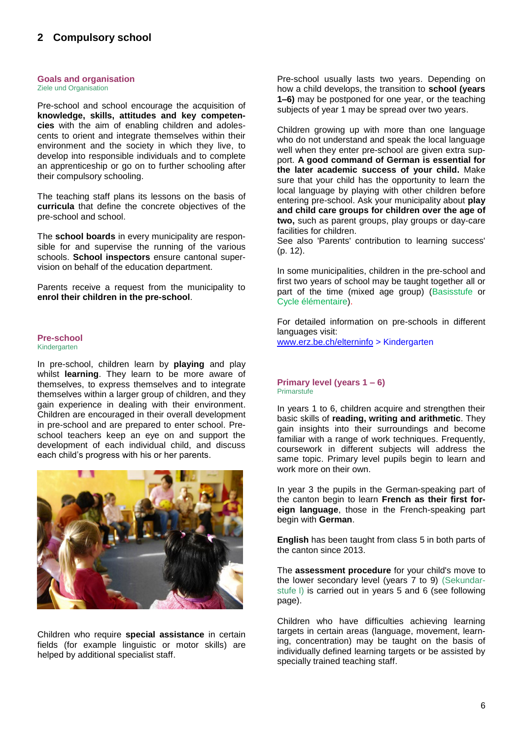#### <span id="page-6-1"></span><span id="page-6-0"></span>**Goals and organisation** Ziele und Organisation

Pre-school and school encourage the acquisition of **knowledge, skills, attitudes and key competencies** with the aim of enabling children and adolescents to orient and integrate themselves within their environment and the society in which they live, to develop into responsible individuals and to complete an apprenticeship or go on to further schooling after their compulsory schooling.

The teaching staff plans its lessons on the basis of **curricula** that define the concrete objectives of the pre-school and school.

The **school boards** in every municipality are responsible for and supervise the running of the various schools. **School inspectors** ensure cantonal supervision on behalf of the education department.

Parents receive a request from the municipality to **enrol their children in the pre-school**.

#### <span id="page-6-2"></span>**Pre-school**  Kindergarten

In pre-school, children learn by **playing** and play whilst **learning**. They learn to be more aware of themselves, to express themselves and to integrate themselves within a larger group of children, and they gain experience in dealing with their environment. Children are encouraged in their overall development in pre-school and are prepared to enter school. Preschool teachers keep an eye on and support the development of each individual child, and discuss each child's progress with his or her parents.



Children who require **special assistance** in certain fields (for example linguistic or motor skills) are helped by additional specialist staff.

Pre-school usually lasts two years. Depending on how a child develops, the transition to **school (years 1–6)** may be postponed for one year, or the teaching subjects of year 1 may be spread over two years.

Children growing up with more than one language who do not understand and speak the local language well when they enter pre-school are given extra support. **A good command of German is essential for the later academic success of your child.** Make sure that your child has the opportunity to learn the local language by playing with other children before entering pre-school. Ask your municipality about **play and child care groups for children over the age of two,** such as parent groups, play groups or day-care facilities for children.

See also 'Parents' contribution to learning success' (p. 12).

In some municipalities, children in the pre-school and first two years of school may be taught together all or part of the time (mixed age group) (Basisstufe or Cycle élémentaire).

For detailed information on pre-schools in different languages visit:

[www.erz.be.ch/elterninfo](http://www.erz.be.ch/erz/de/index/kindergarten_volksschule/kindergarten_volksschule/informationen_fuereltern/kindergarten/elterninformationen.html) > Kindergarten

#### <span id="page-6-3"></span>**Primary level (years 1 – 6) Primarstufe**

In years 1 to 6, children acquire and strengthen their basic skills of **reading, writing and arithmetic**. They gain insights into their surroundings and become familiar with a range of work techniques. Frequently, coursework in different subjects will address the same topic. Primary level pupils begin to learn and work more on their own

In year 3 the pupils in the German-speaking part of the canton begin to learn **French as their first foreign language**, those in the French-speaking part begin with **German**.

**English** has been taught from class 5 in both parts of the canton since 2013.

The **assessment procedure** for your child's move to the lower secondary level (years 7 to 9) (Sekundarstufe I) is carried out in years 5 and 6 (see following page).

Children who have difficulties achieving learning targets in certain areas (language, movement, learning, concentration) may be taught on the basis of individually defined learning targets or be assisted by specially trained teaching staff.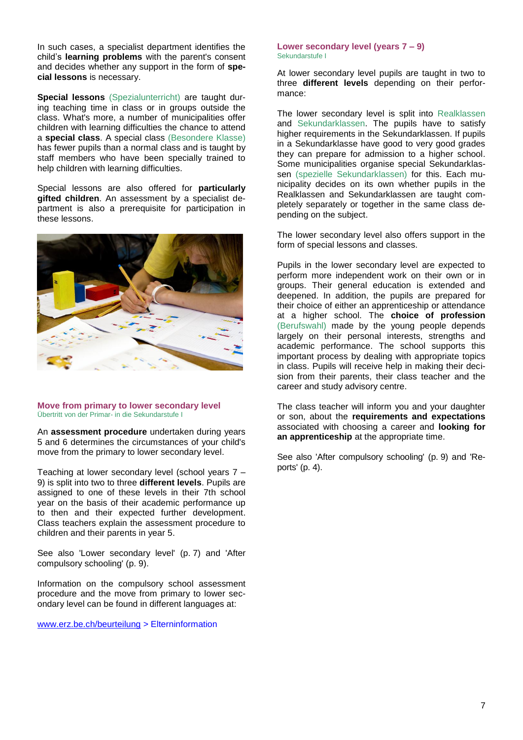In such cases, a specialist department identifies the child's **learning problems** with the parent's consent and decides whether any support in the form of **special lessons** is necessary.

**Special lessons** (Spezialunterricht) are taught during teaching time in class or in groups outside the class. What's more, a number of municipalities offer children with learning difficulties the chance to attend a **special class**. A special class (Besondere Klasse) has fewer pupils than a normal class and is taught by staff members who have been specially trained to help children with learning difficulties.

Special lessons are also offered for **particularly gifted children**. An assessment by a specialist department is also a prerequisite for participation in these lessons.



#### <span id="page-7-0"></span>**Move from primary to lower secondary level**  Übertritt von der Primar- in die Sekundarstufe I

An **assessment procedure** undertaken during years 5 and 6 determines the circumstances of your child's move from the primary to lower secondary level.

Teaching at lower secondary level (school years 7 – 9) is split into two to three **different levels**. Pupils are assigned to one of these levels in their 7th school year on the basis of their academic performance up to then and their expected further development. Class teachers explain the assessment procedure to children and their parents in year 5.

See also 'Lower secondary level' (p. 7) and 'After compulsory schooling' (p. 9).

Information on the compulsory school assessment procedure and the move from primary to lower secondary level can be found in different languages at:

[www.erz.be.ch/beurteilung](http://www.erz.be.ch/beurteilung) > Elterninformation

#### <span id="page-7-1"></span>**Lower secondary level (years 7 – 9)** Sekundarstufe I

At lower secondary level pupils are taught in two to three **different levels** depending on their performance:

The lower secondary level is split into Realklassen and Sekundarklassen. The pupils have to satisfy higher requirements in the Sekundarklassen. If pupils in a Sekundarklasse have good to very good grades they can prepare for admission to a higher school. Some municipalities organise special Sekundarklassen (spezielle Sekundarklassen) for this. Each municipality decides on its own whether pupils in the Realklassen and Sekundarklassen are taught completely separately or together in the same class depending on the subject.

The lower secondary level also offers support in the form of special lessons and classes.

Pupils in the lower secondary level are expected to perform more independent work on their own or in groups. Their general education is extended and deepened. In addition, the pupils are prepared for their choice of either an apprenticeship or attendance at a higher school. The **choice of profession**  (Berufswahl) made by the young people depends largely on their personal interests, strengths and academic performance. The school supports this important process by dealing with appropriate topics in class. Pupils will receive help in making their decision from their parents, their class teacher and the career and study advisory centre.

The class teacher will inform you and your daughter or son, about the **requirements and expectations** associated with choosing a career and **looking for an apprenticeship** at the appropriate time.

See also 'After compulsory schooling' (p. 9) and 'Reports' (p. 4).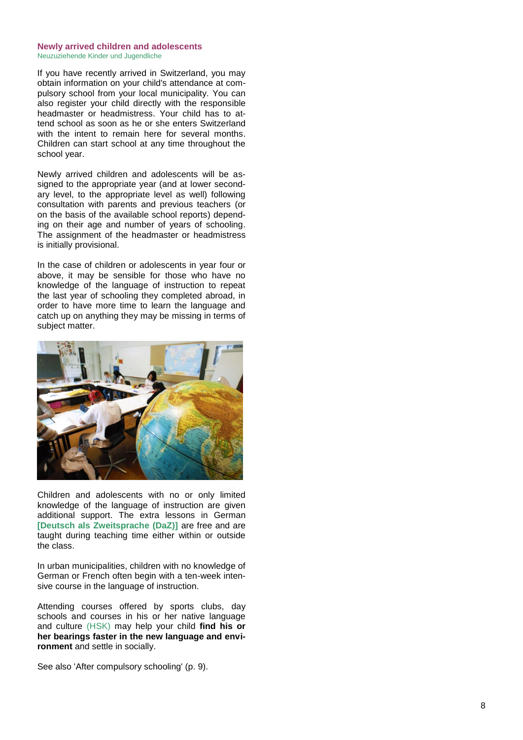#### <span id="page-8-0"></span>**Newly arrived children and adolescents**  Neuzuziehende Kinder und Jugendliche

If you have recently arrived in Switzerland, you may obtain information on your child's attendance at compulsory school from your local municipality. You can also register your child directly with the responsible headmaster or headmistress . Your child has to attend school as soon as he or she enters Switzerland with the intent to remain here for several months . Children can start school at any time throughout the school year.

Newly arrived children and adolescents will be assigned to the appropriate year (and at lower secondary level, to the appropriate level as well) following consultation with parents and previous teachers (or on the basis of the available school reports) depending on their age and number of years of schooling. The assignment of the headmaster or headmistress is initially provisional .

In the case of children or adolescents in year four or above, it may be sensible for those who have no knowledge of the language of instruction to repeat the last year of schooling they completed abroad, in order to have more time to learn the language and catch up on anything they may be missing in terms of subject matter.



Children and adolescents with no or only limited knowledge of the language of instruction are given additional support. The extra lessons in German **[Deutsch als Zweitsprache (DaZ)]** are free and are taught during teaching time either within or outside the class.

In urban municipalities, children with no knowledge of German or French often begin with a ten -week intensive course in the language of instruction.

Attending courses offered by sports clubs, day schools and courses in his or her native language and culture (HSK) may help your child **find his or her bearings faster in the new language and environment** and settle in socially.

See also 'After compulsory schooling' (p. 9).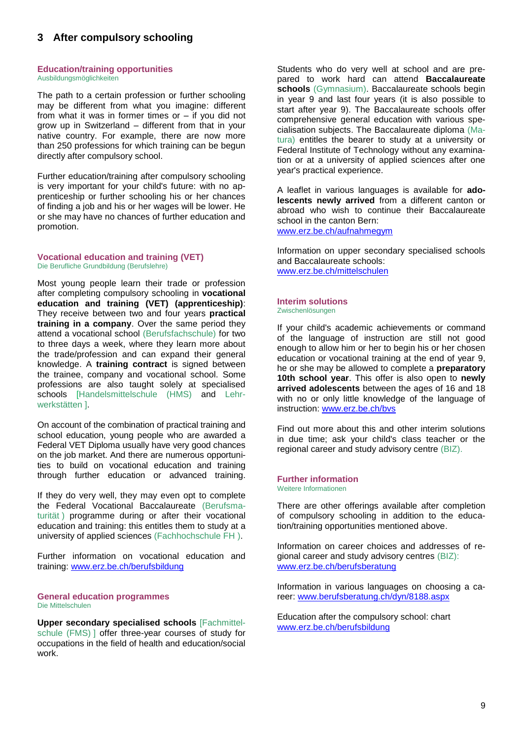## <span id="page-9-0"></span>**3 After compulsory schooling**

#### <span id="page-9-1"></span>**Education/training opportunities**  Ausbildungsmöglichkeiten

The path to a certain profession or further schooling may be different from what you imagine: different from what it was in former times or – if you did not grow up in Switzerland – different from that in your native country. For example, there are now more than 250 professions for which training can be begun directly after compulsory school.

Further education/training after compulsory schooling is very important for your child's future: with no apprenticeship or further schooling his or her chances of finding a job and his or her wages will be lower. He or she may have no chances of further education and promotion.

#### <span id="page-9-2"></span>**Vocational education and training (VET)**  Die Berufliche Grundbildung (Berufslehre)

Most young people learn their trade or profession after completing compulsory schooling in **vocational education and training (VET) (apprenticeship)**: They receive between two and four years **practical training in a company**. Over the same period they attend a vocational school (Berufsfachschule) for two to three days a week, where they learn more about the trade/profession and can expand their general knowledge. A **training contract** is signed between the trainee, company and vocational school. Some professions are also taught solely at specialised schools [Handelsmittelschule (HMS) and Lehrwerkstätten ].

On account of the combination of practical training and school education, young people who are awarded a Federal VET Diploma usually have very good chances on the job market. And there are numerous opportunities to build on vocational education and training through further education or advanced training.

If they do very well, they may even opt to complete the Federal Vocational Baccalaureate (Berufsmaturität ) programme during or after their vocational education and training: this entitles them to study at a university of applied sciences (Fachhochschule FH ).

Further information on vocational education and training: [www.erz.be.ch/berufsbildung](http://www.erz.be.ch/erz/de/index/berufsbildung/grundbildung.html)

#### <span id="page-9-3"></span>**General education programmes** Die Mittelschulen

**Upper secondary specialised schools** [Fachmittelschule (FMS) I offer three-year courses of study for occupations in the field of health and education/social work.

Students who do very well at school and are prepared to work hard can attend **Baccalaureate schools** (Gymnasium). Baccalaureate schools begin in year 9 and last four years (it is also possible to start after year 9). The Baccalaureate schools offer comprehensive general education with various specialisation subjects. The Baccalaureate diploma (Matura) entitles the bearer to study at a university or Federal Institute of Technology without any examination or at a university of applied sciences after one year's practical experience.

A leaflet in various languages is available for **adolescents newly arrived** from a different canton or abroad who wish to continue their Baccalaureate school in the canton Bern: [www.erz.be.ch/aufnahmegym](http://www.erz.be.ch/erz/de/index/mittelschule/mittelschule/gymnasium/aufnahme_und_uebertrittsverfahren.html)

Information on upper secondary specialised schools and Baccalaureate schools: [www.erz.be.ch/mittelschulen](http://www.erz.be.ch/mittelschulen)

#### <span id="page-9-4"></span>**Interim solutions**  Zwischenlösungen

If your child's academic achievements or command of the language of instruction are still not good enough to allow him or her to begin his or her chosen education or vocational training at the end of year 9, he or she may be allowed to complete a **preparatory 10th school year**. This offer is also open to **newly arrived adolescents** between the ages of 16 and 18 with no or only little knowledge of the language of instruction: [www.erz.be.ch/bvs](http://www.erz.be.ch/bvs)

Find out more about this and other interim solutions in due time; ask your child's class teacher or the regional career and study advisory centre (BIZ).

#### <span id="page-9-5"></span>**Further information**  Weitere Informationen

There are other offerings available after completion of compulsory schooling in addition to the education/training opportunities mentioned above.

Information on career choices and addresses of regional career and study advisory centres (BIZ): [www.erz.be.ch/berufsberatung](http://www.erz.be.ch/berufsberatung)

Information in various languages on choosing a career: [www.berufsberatung.ch/dyn/8188.aspx](http://www.berufsberatung.ch/dyn/8188.aspx)

Education after the compulsory school: chart [www.erz.be.ch/berufsbildung](http://www.erz.be.ch/erz/de/index/berufsbildung.assetref/content/dam/documents/ERZ/MBA/de/ABS-ABB-ABR/Grundbildung/bildungswege-nach-der-Volksschule-version-april-10.pdf)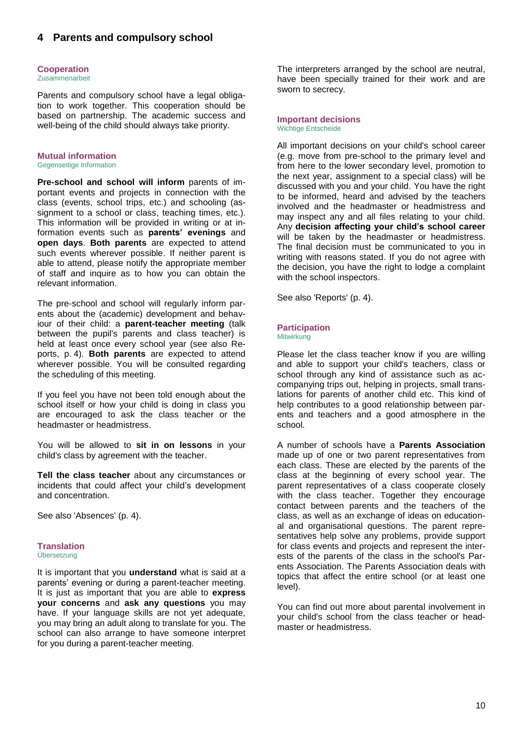## <span id="page-10-0"></span>**4 Parents and compulsory school**

#### <span id="page-10-1"></span>**Cooperation**  Zusammenarbeit

Parents and compulsory school have a legal obligation to work together. This cooperation should be based on partnership. The academic success and well-being of the child should always take priority.

## <span id="page-10-2"></span>**Mutual information**

Gegenseitige Information

**Pre-school and school will inform** parents of important events and projects in connection with the class (events, school trips, etc.) and schooling (assignment to a school or class, teaching times, etc.). This information will be provided in writing or at information events such as **parents' evenings** and **open days**. **Both parents** are expected to attend such events wherever possible. If neither parent is able to attend, please notify the appropriate member of staff and inquire as to how you can obtain the relevant information.

The pre-school and school will regularly inform parents about the (academic) development and behaviour of their child: a **parent-teacher meeting** (talk between the pupil's parents and class teacher) is held at least once every school year (see also Reports, p. 4). **Both parents** are expected to attend wherever possible. You will be consulted regarding the scheduling of this meeting.

If you feel you have not been told enough about the school itself or how your child is doing in class you are encouraged to ask the class teacher or the headmaster or headmistress.

You will be allowed to **sit in on lessons** in your child's class by agreement with the teacher.

**Tell the class teacher** about any circumstances or incidents that could affect your child's development and concentration.

See also 'Absences' (p. 4).

## <span id="page-10-3"></span>**Translation**

Übersetzung

It is important that you **understand** what is said at a parents' evening or during a parent-teacher meeting. It is just as important that you are able to **express your concerns** and **ask any questions** you may have. If your language skills are not yet adequate, you may bring an adult along to translate for you. The school can also arrange to have someone interpret for you during a parent-teacher meeting.

The interpreters arranged by the school are neutral, have been specially trained for their work and are sworn to secrecy.

<span id="page-10-4"></span>**Important decisions**  Wichtige Entscheide

All important decisions on your child's school career (e.g. move from pre-school to the primary level and from here to the lower secondary level, promotion to the next year, assignment to a special class) will be discussed with you and your child. You have the right to be informed, heard and advised by the teachers involved and the headmaster or headmistress and may inspect any and all files relating to your child. Any **decision affecting your child's school career**  will be taken by the headmaster or headmistress. The final decision must be communicated to you in writing with reasons stated. If you do not agree with the decision, you have the right to lodge a complaint with the school inspectors.

See also 'Reports' (p. 4).

# <span id="page-10-5"></span>**Participation**

**Mitwirkung** 

Please let the class teacher know if you are willing and able to support your child's teachers, class or school through any kind of assistance such as accompanying trips out, helping in projects, small translations for parents of another child etc. This kind of help contributes to a good relationship between parents and teachers and a good atmosphere in the school.

A number of schools have a **Parents Association** made up of one or two parent representatives from each class. These are elected by the parents of the class at the beginning of every school year. The parent representatives of a class cooperate closely with the class teacher. Together they encourage contact between parents and the teachers of the class, as well as an exchange of ideas on educational and organisational questions. The parent representatives help solve any problems, provide support for class events and projects and represent the interests of the parents of the class in the school's Parents Association. The Parents Association deals with topics that affect the entire school (or at least one level).

You can find out more about parental involvement in your child's school from the class teacher or headmaster or headmistress.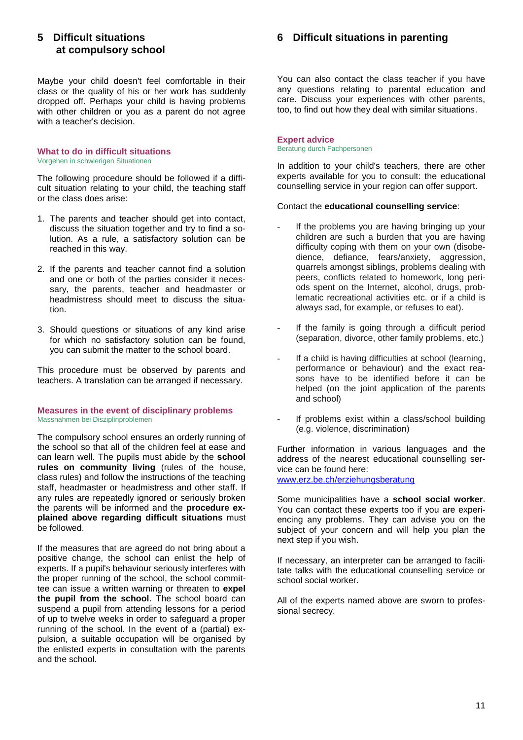## <span id="page-11-0"></span>**5 Difficult situations at compulsory school**

Maybe your child doesn't feel comfortable in their class or the quality of his or her work has suddenly dropped off. Perhaps your child is having problems with other children or you as a parent do not agree with a teacher's decision.

#### <span id="page-11-1"></span>**What to do in difficult situations**  Vorgehen in schwierigen Situationen

The following procedure should be followed if a difficult situation relating to your child, the teaching staff or the class does arise:

- 1. The parents and teacher should get into contact, discuss the situation together and try to find a solution. As a rule, a satisfactory solution can be reached in this way.
- 2. If the parents and teacher cannot find a solution and one or both of the parties consider it necessary, the parents, teacher and headmaster or headmistress should meet to discuss the situation.
- 3. Should questions or situations of any kind arise for which no satisfactory solution can be found, you can submit the matter to the school board.

This procedure must be observed by parents and teachers. A translation can be arranged if necessary.

#### <span id="page-11-2"></span>**Measures in the event of disciplinary problems** Massnahmen bei Disziplinproblemen

The compulsory school ensures an orderly running of the school so that all of the children feel at ease and can learn well. The pupils must abide by the **school rules on community living** (rules of the house, class rules) and follow the instructions of the teaching staff, headmaster or headmistress and other staff. If any rules are repeatedly ignored or seriously broken the parents will be informed and the **procedure explained above regarding difficult situations** must be followed.

If the measures that are agreed do not bring about a positive change, the school can enlist the help of experts. If a pupil's behaviour seriously interferes with the proper running of the school, the school committee can issue a written warning or threaten to **expel the pupil from the school**. The school board can suspend a pupil from attending lessons for a period of up to twelve weeks in order to safeguard a proper running of the school. In the event of a (partial) expulsion, a suitable occupation will be organised by the enlisted experts in consultation with the parents and the school.

## <span id="page-11-3"></span>**6 Difficult situations in parenting**

You can also contact the class teacher if you have any questions relating to parental education and care. Discuss your experiences with other parents, too, to find out how they deal with similar situations.

#### <span id="page-11-4"></span>**Expert advice**  Beratung durch Fachpersonen

In addition to your child's teachers, there are other experts available for you to consult: the educational counselling service in your region can offer support.

## Contact the **educational counselling service**:

- If the problems you are having bringing up your children are such a burden that you are having difficulty coping with them on your own (disobedience, defiance, fears/anxiety, aggression, quarrels amongst siblings, problems dealing with peers, conflicts related to homework, long periods spent on the Internet, alcohol, drugs, problematic recreational activities etc. or if a child is always sad, for example, or refuses to eat).
- If the family is going through a difficult period (separation, divorce, other family problems, etc.)
- If a child is having difficulties at school (learning, performance or behaviour) and the exact reasons have to be identified before it can be helped (on the joint application of the parents and school)
- If problems exist within a class/school building (e.g. violence, discrimination)

Further information in various languages and the address of the nearest educational counselling service can be found here: [www.erz.be.ch/erziehungsberatung](http://www.erz.be.ch/erz/de/index/erziehungsberatung/erziehungsberatung/ueber_uns.html)

Some municipalities have a **school social worker**. You can contact these experts too if you are experiencing any problems. They can advise you on the subject of your concern and will help you plan the next step if you wish.

If necessary, an interpreter can be arranged to facilitate talks with the educational counselling service or school social worker.

All of the experts named above are sworn to professional secrecy.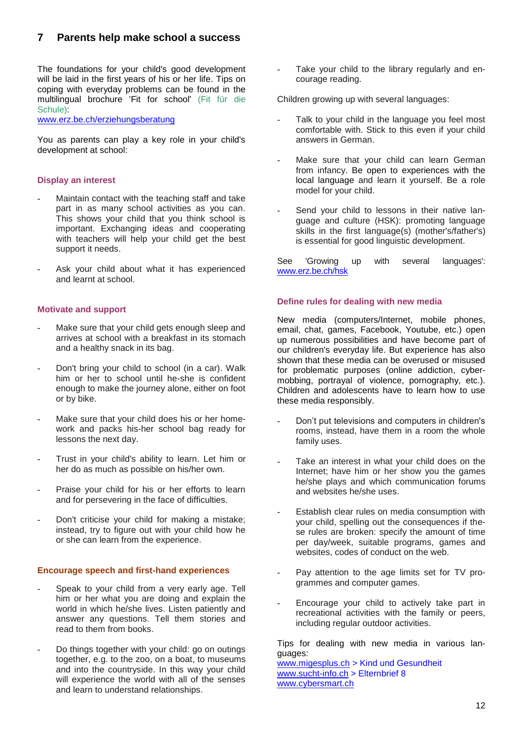## <span id="page-12-0"></span>**7 Parents help make school a success**

The foundations for your child's good development will be laid in the first years of his or her life. Tips on coping with everyday problems can be found in the multilingual brochure 'Fit for school' (Fit für die Schule):

[www.erz.be.ch/erziehungsberatung](http://www.erz.be.ch/erz/de/index/erziehungsberatung/erziehungsberatung/fachinformationen/fit_fuer_die_schule/broschueren.html)

You as parents can play a key role in your child's development at school:

## <span id="page-12-1"></span>**Display an interest**

- Maintain contact with the teaching staff and take part in as many school activities as you can. This shows your child that you think school is important. Exchanging ideas and cooperating with teachers will help your child get the best support it needs.
- Ask your child about what it has experienced and learnt at school.

## <span id="page-12-2"></span>**Motivate and support**

- Make sure that your child gets enough sleep and arrives at school with a breakfast in its stomach and a healthy snack in its bag.
- Don't bring your child to school (in a car). Walk him or her to school until he-she is confident enough to make the journey alone, either on foot or by bike.
- Make sure that your child does his or her homework and packs his-her school bag ready for lessons the next day.
- Trust in your child's ability to learn. Let him or her do as much as possible on his/her own.
- Praise your child for his or her efforts to learn and for persevering in the face of difficulties.
- Don't criticise your child for making a mistake; instead, try to figure out with your child how he or she can learn from the experience.

## <span id="page-12-3"></span>**Encourage speech and first-hand experiences**

- Speak to your child from a very early age. Tell him or her what you are doing and explain the world in which he/she lives. Listen patiently and answer any questions. Tell them stories and read to them from books.
- Do things together with your child: go on outings together, e.g. to the zoo, on a boat, to museums and into the countryside. In this way your child will experience the world with all of the senses and learn to understand relationships.

Take your child to the library regularly and encourage reading.

Children growing up with several languages:

- Talk to your child in the language you feel most comfortable with. Stick to this even if your child answers in German.
- Make sure that your child can learn German from infancy. Be open to experiences with the local language and learn it yourself. Be a role model for your child.
- Send your child to lessons in their native language and culture (HSK): promoting language skills in the first language(s) (mother's/father's) is essential for good linguistic development.

See 'Growing up with several languages': [www.erz.be.ch/hsk](http://www.erz.be.ch/hsk)

## <span id="page-12-4"></span>**Define rules for dealing with new media**

New media (computers/Internet, mobile phones, email, chat, games, Facebook, Youtube, etc.) open up numerous possibilities and have become part of our children's everyday life. But experience has also shown that these media can be overused or misused for problematic purposes (online addiction, cybermobbing, portrayal of violence, pornography, etc.). Children and adolescents have to learn how to use these media responsibly.

- Don't put televisions and computers in children's rooms, instead, have them in a room the whole family uses.
- Take an interest in what your child does on the Internet; have him or her show you the games he/she plays and which communication forums and websites he/she uses.
- Establish clear rules on media consumption with your child, spelling out the consequences if these rules are broken: specify the amount of time per day/week, suitable programs, games and websites, codes of conduct on the web.
- Pay attention to the age limits set for TV programmes and computer games.
- Encourage your child to actively take part in recreational activities with the family or peers, including regular outdoor activities.

Tips for dealing with new media in various languages:

[www.migesplus.ch](http://www.migesplus.ch/index.php?id=8&uid=167&L=0) > Kind und Gesundheit [www.sucht-info.ch](http://www.sucht-info.ch/de/info-materialien/paedagogisches-material/eltern/) > Elternbrief 8 [www.cybersmart.ch](http://www.cybersmart.ch/)